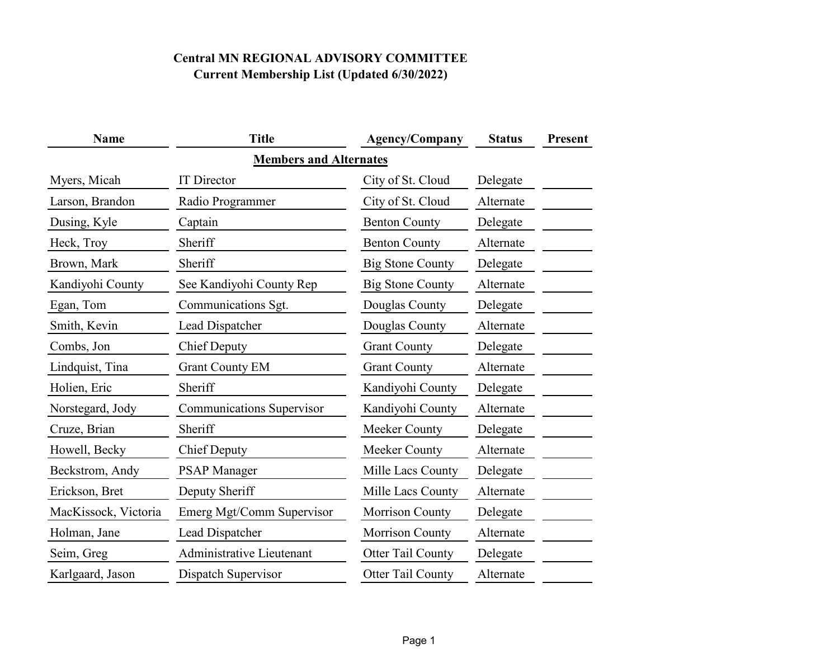| <b>Name</b>                   | <b>Title</b>                     | <b>Agency/Company</b>   | <b>Status</b> | Present |  |  |  |  |
|-------------------------------|----------------------------------|-------------------------|---------------|---------|--|--|--|--|
| <b>Members and Alternates</b> |                                  |                         |               |         |  |  |  |  |
| Myers, Micah                  | <b>IT</b> Director               | City of St. Cloud       | Delegate      |         |  |  |  |  |
| Larson, Brandon               | Radio Programmer                 | City of St. Cloud       | Alternate     |         |  |  |  |  |
| Dusing, Kyle                  | Captain                          | <b>Benton County</b>    | Delegate      |         |  |  |  |  |
| Heck, Troy                    | Sheriff                          | <b>Benton County</b>    | Alternate     |         |  |  |  |  |
| Brown, Mark                   | Sheriff                          | <b>Big Stone County</b> | Delegate      |         |  |  |  |  |
| Kandiyohi County              | See Kandiyohi County Rep         | <b>Big Stone County</b> | Alternate     |         |  |  |  |  |
| Egan, Tom                     | Communications Sgt.              | Douglas County          | Delegate      |         |  |  |  |  |
| Smith, Kevin                  | Lead Dispatcher                  | Douglas County          | Alternate     |         |  |  |  |  |
| Combs, Jon                    | <b>Chief Deputy</b>              | <b>Grant County</b>     | Delegate      |         |  |  |  |  |
| Lindquist, Tina               | <b>Grant County EM</b>           | <b>Grant County</b>     | Alternate     |         |  |  |  |  |
| Holien, Eric                  | Sheriff                          | Kandiyohi County        | Delegate      |         |  |  |  |  |
| Norstegard, Jody              | <b>Communications Supervisor</b> | Kandiyohi County        | Alternate     |         |  |  |  |  |
| Cruze, Brian                  | Sheriff                          | Meeker County           | Delegate      |         |  |  |  |  |
| Howell, Becky                 | <b>Chief Deputy</b>              | Meeker County           | Alternate     |         |  |  |  |  |
| Beckstrom, Andy               | <b>PSAP Manager</b>              | Mille Lacs County       | Delegate      |         |  |  |  |  |
| Erickson, Bret                | Deputy Sheriff                   | Mille Lacs County       | Alternate     |         |  |  |  |  |
| MacKissock, Victoria          | Emerg Mgt/Comm Supervisor        | <b>Morrison County</b>  | Delegate      |         |  |  |  |  |
| Holman, Jane                  | Lead Dispatcher                  | <b>Morrison County</b>  | Alternate     |         |  |  |  |  |
| Seim, Greg                    | Administrative Lieutenant        | Otter Tail County       | Delegate      |         |  |  |  |  |
| Karlgaard, Jason              | Dispatch Supervisor              | Otter Tail County       | Alternate     |         |  |  |  |  |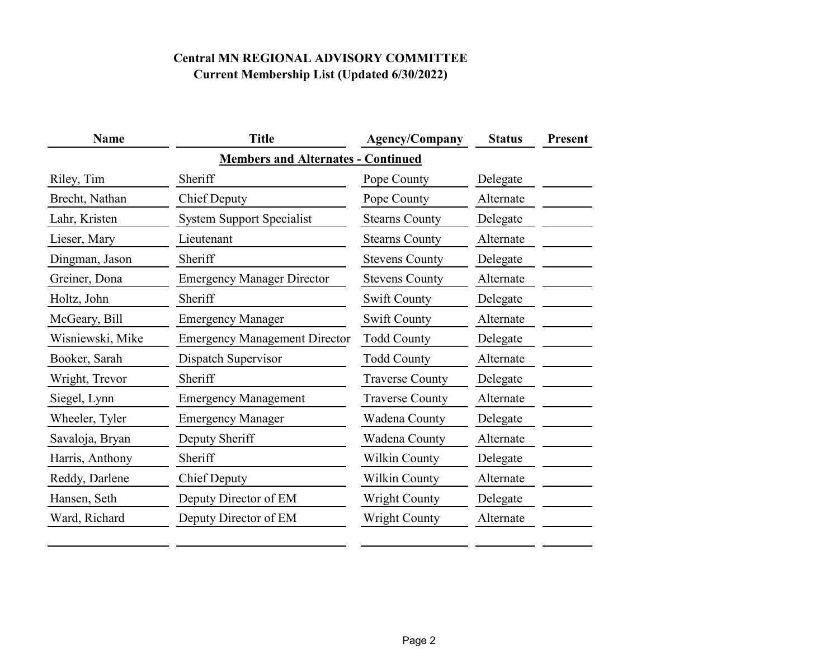| <b>Name</b>                               | <b>Title</b>                         | <b>Agency/Company</b>  | <b>Status</b> | <b>Present</b> |  |
|-------------------------------------------|--------------------------------------|------------------------|---------------|----------------|--|
| <b>Members and Alternates - Continued</b> |                                      |                        |               |                |  |
| Riley, Tim                                | Sheriff                              | Pope County            | Delegate      |                |  |
| Brecht, Nathan                            | <b>Chief Deputy</b>                  | Pope County            | Alternate     |                |  |
| Lahr, Kristen                             | <b>System Support Specialist</b>     | <b>Stearns County</b>  | Delegate      |                |  |
| Lieser, Mary                              | Lieutenant                           | <b>Stearns County</b>  | Alternate     |                |  |
| Dingman, Jason                            | Sheriff                              | <b>Stevens County</b>  | Delegate      |                |  |
| Greiner, Dona                             | <b>Emergency Manager Director</b>    | <b>Stevens County</b>  | Alternate     |                |  |
| Holtz, John                               | Sheriff                              | <b>Swift County</b>    | Delegate      |                |  |
| McGeary, Bill                             | <b>Emergency Manager</b>             | <b>Swift County</b>    | Alternate     |                |  |
| Wisniewski, Mike                          | <b>Emergency Management Director</b> | <b>Todd County</b>     | Delegate      |                |  |
| Booker, Sarah                             | Dispatch Supervisor                  | <b>Todd County</b>     | Alternate     |                |  |
| Wright, Trevor                            | Sheriff                              | <b>Traverse County</b> | Delegate      |                |  |
| Siegel, Lynn                              | <b>Emergency Management</b>          | <b>Traverse County</b> | Alternate     |                |  |
| Wheeler, Tyler                            | <b>Emergency Manager</b>             | Wadena County          | Delegate      |                |  |
| Savaloja, Bryan                           | Deputy Sheriff                       | Wadena County          | Alternate     |                |  |
| Harris, Anthony                           | Sheriff                              | Wilkin County          | Delegate      |                |  |
| Reddy, Darlene                            | <b>Chief Deputy</b>                  | Wilkin County          | Alternate     |                |  |
| Hansen, Seth                              | Deputy Director of EM                | <b>Wright County</b>   | Delegate      |                |  |
| Ward, Richard                             | Deputy Director of EM                | <b>Wright County</b>   | Alternate     |                |  |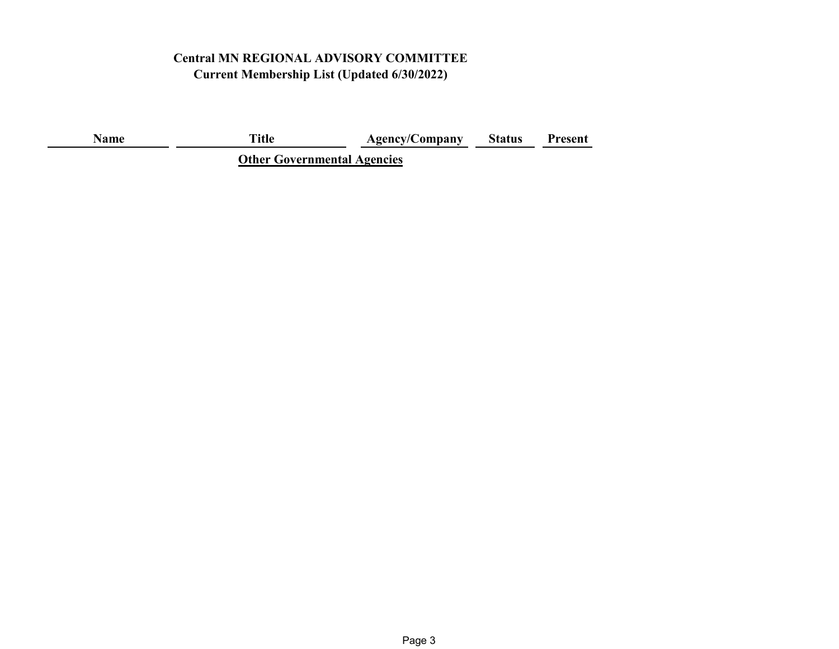**Name Title Agency/Company Status Present**

**Other Governmental Agencies**